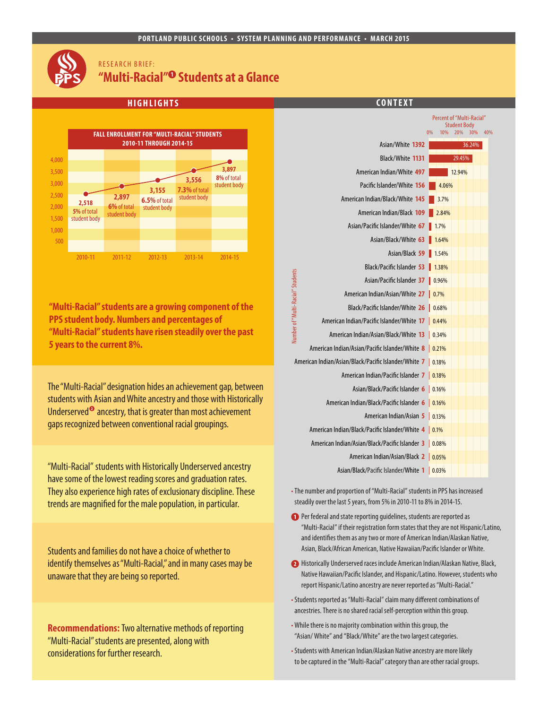#### **PORTLAND PUBLIC SCHOOLS • SYSTEM PLANNING AND PERFORMANCE • MARCH 2015**

# RESEARCH BRIEF: **"Multi-Racial" Students at a Glance**



**"Multi-Racial" students are a growing component of the PPS student body. Numbers and percentages of "Multi-Racial" students have risen steadily over the past 5 years to the current 8%.**

The "Multi-Racial" designation hides an achievement gap, between students with Asian and White ancestry and those with Historically Underserved<sup> $\bullet$ </sup> ancestry, that is greater than most achievement gaps recognized between conventional racial groupings.

"Multi-Racial" students with Historically Underserved ancestry have some of the lowest reading scores and graduation rates. They also experience high rates of exclusionary discipline. These trends are magnified for the male population, in particular.

Students and families do not have a choice of whether to identify themselves as "Multi-Racial," and in many cases may be unaware that they are being so reported.

**Recommendations:** Two alternative methods of reporting "Multi-Racial" students are presented, along with considerations for further research.



- •The number and proportion of "Multi-Racial" students in PPS has increased steadily over the last 5 years, from 5% in 2010-11 to 8% in 2014-15.
- **Per federal and state reporting guidelines, students are reported as** "Multi-Racial" if their registration form states that they are not Hispanic/Latino, and identifies them as any two or more of American Indian/Alaskan Native, Asian, Black/African American, Native Hawaiian/Pacific Islander or White.
- Historically Underserved races include American Indian/Alaskan Native, Black, Native Hawaiian/Pacific Islander, and Hispanic/Latino. However, students who report Hispanic/Latino ancestry are never reported as "Multi-Racial."
- •Students reported as "Multi-Racial" claim many different combinations of ancestries. There is no shared racial self-perception within this group.
- •While there is no majority combination within this group, the "Asian/ White" and "Black/White" are the two largest categories.
- •Students with American Indian/Alaskan Native ancestry are more likely to be captured in the "Multi-Racial" category than are other racial groups.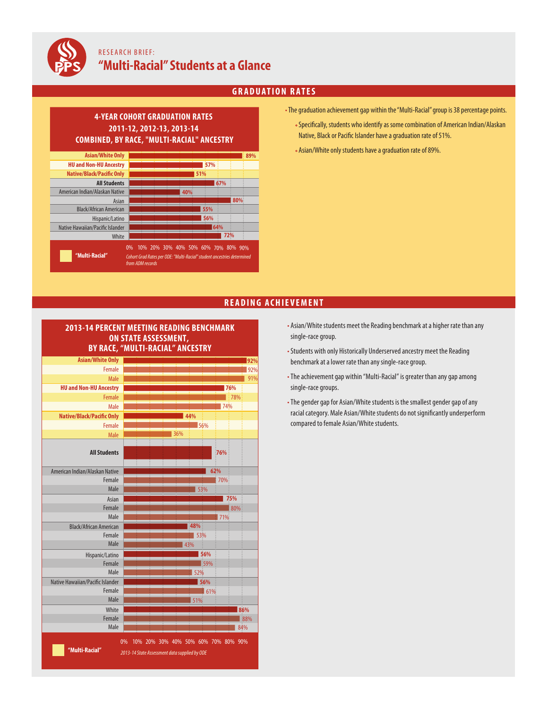

# RESEARCH BRIEF: **"Multi-Racial"Students at a Glance**

## **GRADUATION RATES**

**89%**

#### **57% Asian/White Only HU and Non-HU Ancestry 4-YEAR COHORT GRADUATION RATES 2011-12, 2012-13, 2013-14 COMBINED, BY RACE, "MULTI-RACIAL" ANCESTRY**



- The graduation achievement gap within the "Multi-Racial" group is 38 percentage points.
	- Specifically, students who identify as some combination of American Indian/Alaskan Native, Black or Pacific Islander have a graduation rate of 51%.
	- Asian/White only students have a graduation rate of 89%.

### **READING ACHIEVEMENT**

### **2013-14 PERCENT MEETING READING BENCHMARK ON STATE ASSESSMENT, BY RACE, "MULTI-RACIAL" ANCESTRY**

| <b>Asian/White Only</b>          |      | 92% |
|----------------------------------|------|-----|
| Female                           |      | 92% |
| Male                             |      | 91% |
| <b>HU and Non-HU Ancestry</b>    |      | 76% |
| Female                           |      | 78% |
| Male                             |      | 74% |
| <b>Native/Black/Pacific Only</b> | 44%  |     |
| Female                           | 56%  |     |
| Male                             | 36%  |     |
|                                  |      |     |
| <b>All Students</b>              | 76%  |     |
|                                  |      |     |
| American Indian/Alaskan Native   | 62%  |     |
| Female                           | 70%  |     |
| Male                             | 53%  |     |
| Asian                            |      | 75% |
| Female                           |      | 80% |
| Male                             | 71%  |     |
| <b>Black/African American</b>    | 48%  |     |
| Female                           | 53%  |     |
| Male                             | 43%  |     |
| Hispanic/Latino                  | 56%  |     |
| Female                           | 59%  |     |
| Male                             | 52%  |     |
| Native Hawaiian/Pacific Islander | 56%  |     |
| Female                           | 161% |     |
| Male                             | 51%  |     |
| White                            |      | 86% |
| Female                           |      | 88% |
| Male                             |      | 84% |

- Asian/White students meet the Reading benchmark at a higher rate than any single-race group.
- •Students with only Historically Underserved ancestry meet the Reading benchmark at a lower rate than any single-race group.
- The achievement gap within "Multi-Racial" is greater than any gap among single-race groups.
- The gender gap for Asian/White students is the smallest gender gap of any racial category. Male Asian/White students do not significantly underperform compared to female Asian/White students.